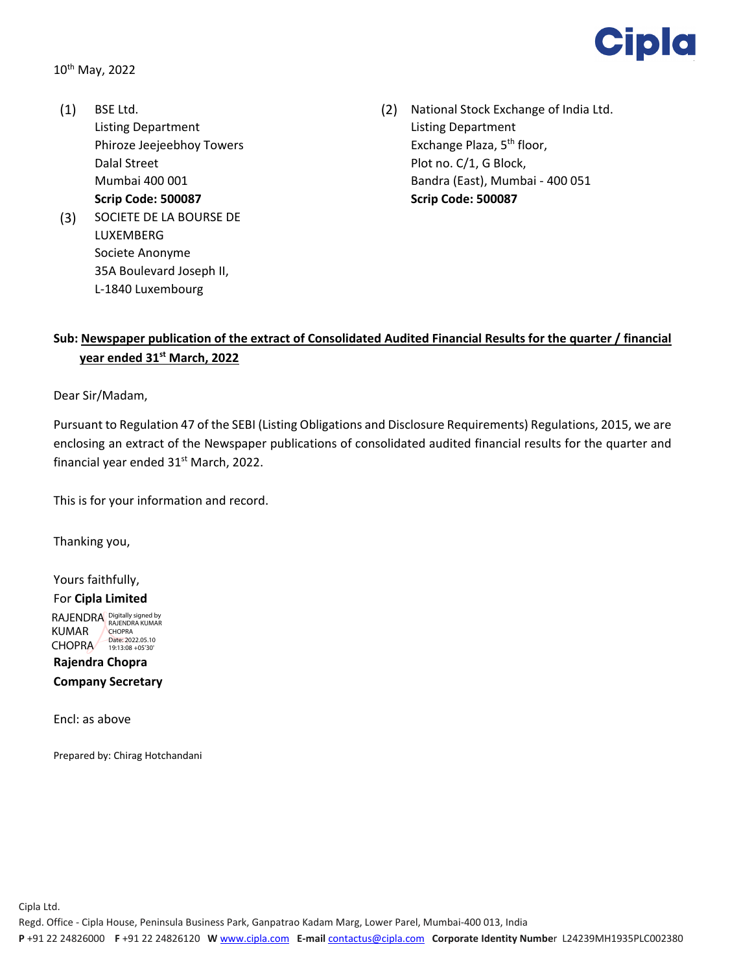

- Listing Department Listing Department Dalal Street **Plot no. C/1, G Block, Scrip Code: 500087 Scrip Code: 500087** (3) SOCIETE DE LA BOURSE DE LUXEMBERG Societe Anonyme 35A Boulevard Joseph II, L‐1840 Luxembourg
- (1) BSE Ltd. (2) National Stock Exchange of India Ltd. Phiroze Jeejeebhoy Towers **Exchange Plaza**, 5<sup>th</sup> floor, Mumbai 400 001 Bandra (East), Mumbai ‐ 400 051

## **Sub: Newspaper publication of the extract of Consolidated Audited Financial Results for the quarter / financial year ended 31st March, 2022**

Dear Sir/Madam,

Pursuant to Regulation 47 of the SEBI (Listing Obligations and Disclosure Requirements) Regulations, 2015, we are enclosing an extract of the Newspaper publications of consolidated audited financial results for the quarter and financial year ended 31<sup>st</sup> March, 2022.

This is for your information and record.

Thanking you,

Yours faithfully, For **Cipla Limited**  RAJENDRA Digitally signed by KUMAR CHOPRA CHOPRA<br>Date: 2022.05.10<br>19:13:08 +05'30'

**Rajendra Chopra Company Secretary**

Encl: as above

Prepared by: Chirag Hotchandani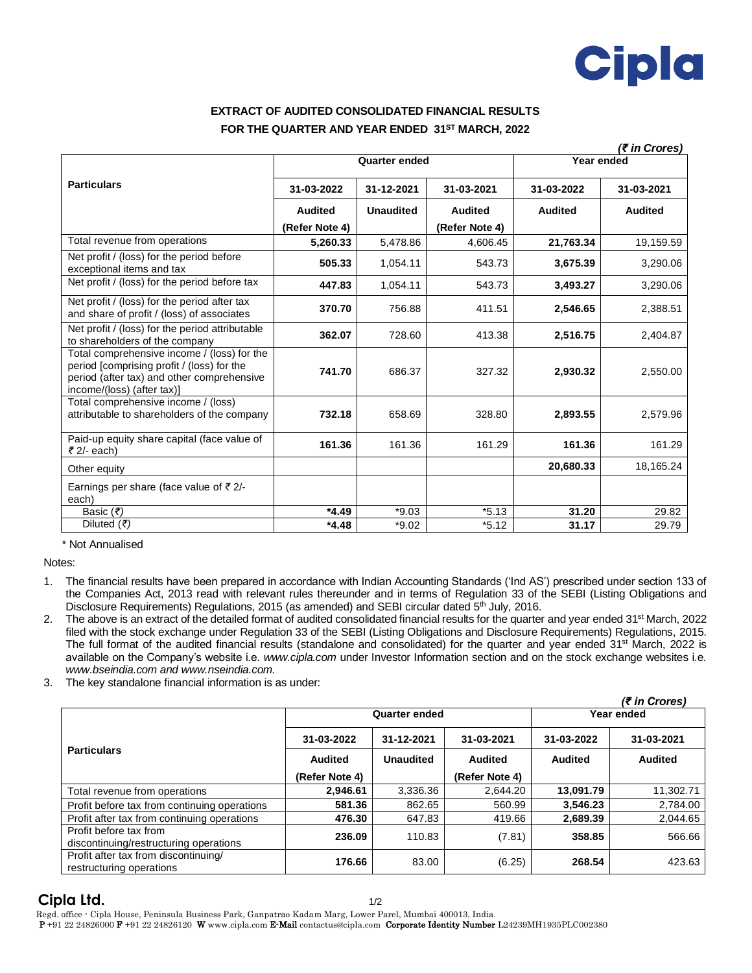

## **EXTRACT OF AUDITED CONSOLIDATED FINANCIAL RESULTS FOR THE QUARTER AND YEAR ENDED 31 ST MARCH, 2022**

|                                                                                                                                                                       |                      |                  |                |                | (₹ in Crores)  |
|-----------------------------------------------------------------------------------------------------------------------------------------------------------------------|----------------------|------------------|----------------|----------------|----------------|
| <b>Particulars</b>                                                                                                                                                    | <b>Quarter ended</b> |                  |                | Year ended     |                |
|                                                                                                                                                                       | 31-03-2022           | 31-12-2021       | 31-03-2021     | 31-03-2022     | 31-03-2021     |
|                                                                                                                                                                       | <b>Audited</b>       | <b>Unaudited</b> | <b>Audited</b> | <b>Audited</b> | <b>Audited</b> |
|                                                                                                                                                                       | (Refer Note 4)       |                  | (Refer Note 4) |                |                |
| Total revenue from operations                                                                                                                                         | 5,260.33             | 5,478.86         | 4,606.45       | 21,763.34      | 19.159.59      |
| Net profit / (loss) for the period before<br>exceptional items and tax                                                                                                | 505.33               | 1.054.11         | 543.73         | 3.675.39       | 3,290.06       |
| Net profit / (loss) for the period before tax                                                                                                                         | 447.83               | 1,054.11         | 543.73         | 3,493.27       | 3,290.06       |
| Net profit / (loss) for the period after tax<br>and share of profit / (loss) of associates                                                                            | 370.70               | 756.88           | 411.51         | 2,546.65       | 2,388.51       |
| Net profit / (loss) for the period attributable<br>to shareholders of the company                                                                                     | 362.07               | 728.60           | 413.38         | 2,516.75       | 2,404.87       |
| Total comprehensive income / (loss) for the<br>period [comprising profit / (loss) for the<br>period (after tax) and other comprehensive<br>income/(loss) (after tax)] | 741.70               | 686.37           | 327.32         | 2,930.32       | 2,550.00       |
| Total comprehensive income / (loss)<br>attributable to shareholders of the company                                                                                    | 732.18               | 658.69           | 328.80         | 2,893.55       | 2,579.96       |
| Paid-up equity share capital (face value of<br>₹ $2/-$ each)                                                                                                          | 161.36               | 161.36           | 161.29         | 161.36         | 161.29         |
| Other equity                                                                                                                                                          |                      |                  |                | 20,680.33      | 18,165.24      |
| Earnings per share (face value of $\bar{\tau}$ 2/-<br>each)                                                                                                           |                      |                  |                |                |                |
| Basic $(\overline{\overline{\epsilon}})$                                                                                                                              | $*4.49$              | $*9.03$          | $*5.13$        | 31.20          | 29.82          |
| Diluted (₹)                                                                                                                                                           | $*4.48$              | $*9.02$          | $*5.12$        | 31.17          | 29.79          |

\* Not Annualised

Notes:

- 1. The financial results have been prepared in accordance with Indian Accounting Standards ('Ind AS') prescribed under section 133 of the Companies Act, 2013 read with relevant rules thereunder and in terms of Regulation 33 of the SEBI (Listing Obligations and Disclosure Requirements) Regulations, 2015 (as amended) and SEBI circular dated 5<sup>th</sup> July, 2016.
- 2. The above is an extract of the detailed format of audited consolidated financial results for the quarter and year ended 31<sup>st</sup> March, 2022 filed with the stock exchange under Regulation 33 of the SEBI (Listing Obligations and Disclosure Requirements) Regulations, 2015. The full format of the audited financial results (standalone and consolidated) for the quarter and year ended 31<sup>st</sup> March, 2022 is available on the Company's website i.e. *www.cipla.com* under Investor Information section and on the stock exchange websites i.e. *www.bseindia.com and www.nseindia.com.*
- 3. The key standalone financial information is as under:

|                                                                  | <b>Quarter ended</b> |            |                | $(7$ in Crores)<br>Year ended |                |
|------------------------------------------------------------------|----------------------|------------|----------------|-------------------------------|----------------|
| <b>Particulars</b>                                               | 31-03-2022           | 31-12-2021 | 31-03-2021     | 31-03-2022                    | 31-03-2021     |
|                                                                  | <b>Audited</b>       | Unaudited  | Audited        | <b>Audited</b>                | <b>Audited</b> |
|                                                                  | (Refer Note 4)       |            | (Refer Note 4) |                               |                |
| Total revenue from operations                                    | 2,946.61             | 3,336.36   | 2.644.20       | 13,091.79                     | 11,302.71      |
| Profit before tax from continuing operations                     | 581.36               | 862.65     | 560.99         | 3.546.23                      | 2,784.00       |
| Profit after tax from continuing operations                      | 476.30               | 647.83     | 419.66         | 2,689.39                      | 2,044.65       |
| Profit before tax from<br>discontinuing/restructuring operations | 236.09               | 110.83     | (7.81)         | 358.85                        | 566.66         |
| Profit after tax from discontinuing/<br>restructuring operations | 176.66               | 83.00      | (6.25)         | 268.54                        | 423.63         |

 **Cipla Ltd.** 1/2